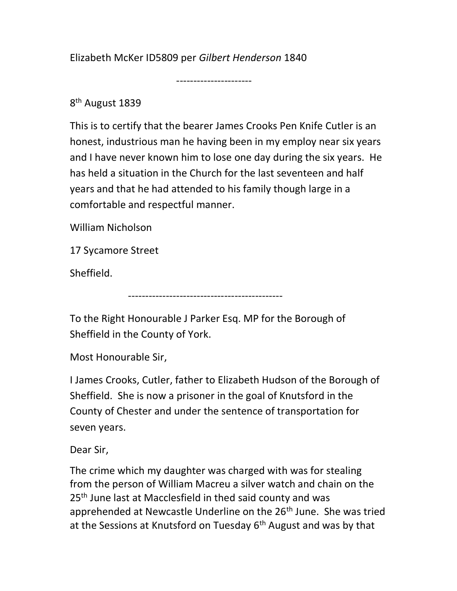Elizabeth McKer ID5809 per Gilbert Henderson 1840

----------------------

8<sup>th</sup> August 1839

This is to certify that the bearer James Crooks Pen Knife Cutler is an honest, industrious man he having been in my employ near six years and I have never known him to lose one day during the six years. He has held a situation in the Church for the last seventeen and half years and that he had attended to his family though large in a comfortable and respectful manner.

William Nicholson

17 Sycamore Street

Sheffield.

---------------------------------------------

To the Right Honourable J Parker Esq. MP for the Borough of Sheffield in the County of York.

Most Honourable Sir,

I James Crooks, Cutler, father to Elizabeth Hudson of the Borough of Sheffield. She is now a prisoner in the goal of Knutsford in the County of Chester and under the sentence of transportation for seven years.

Dear Sir,

The crime which my daughter was charged with was for stealing from the person of William Macreu a silver watch and chain on the 25<sup>th</sup> June last at Macclesfield in thed said county and was apprehended at Newcastle Underline on the 26<sup>th</sup> June. She was tried at the Sessions at Knutsford on Tuesday  $6<sup>th</sup>$  August and was by that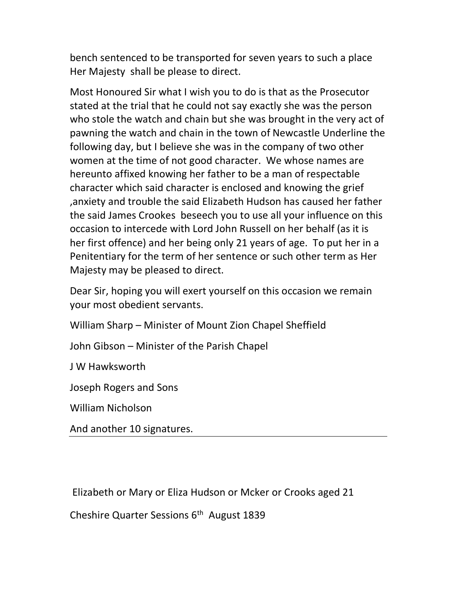bench sentenced to be transported for seven years to such a place Her Majesty shall be please to direct.

Most Honoured Sir what I wish you to do is that as the Prosecutor stated at the trial that he could not say exactly she was the person who stole the watch and chain but she was brought in the very act of pawning the watch and chain in the town of Newcastle Underline the following day, but I believe she was in the company of two other women at the time of not good character. We whose names are hereunto affixed knowing her father to be a man of respectable character which said character is enclosed and knowing the grief ,anxiety and trouble the said Elizabeth Hudson has caused her father the said James Crookes beseech you to use all your influence on this occasion to intercede with Lord John Russell on her behalf (as it is her first offence) and her being only 21 years of age. To put her in a Penitentiary for the term of her sentence or such other term as Her Majesty may be pleased to direct.

Dear Sir, hoping you will exert yourself on this occasion we remain your most obedient servants.

William Sharp – Minister of Mount Zion Chapel Sheffield

John Gibson – Minister of the Parish Chapel

J W Hawksworth

Joseph Rogers and Sons

William Nicholson

And another 10 signatures.

Elizabeth or Mary or Eliza Hudson or Mcker or Crooks aged 21

Cheshire Quarter Sessions 6<sup>th</sup> August 1839